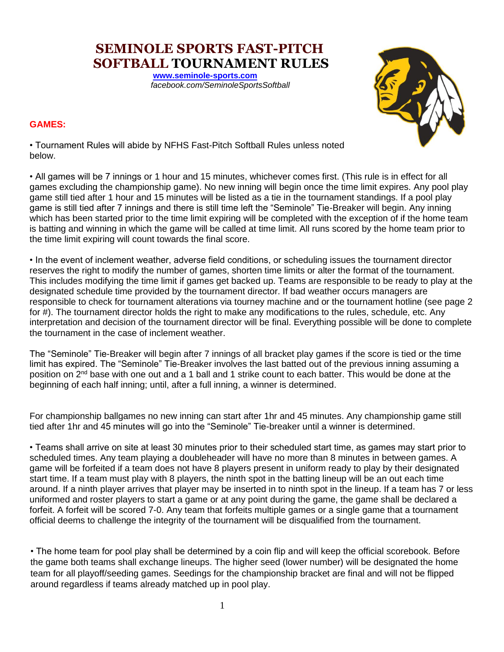**SEMINOLE SPORTS FAST-PITCH SOFTBALL TOURNAMENT RULES** 

> **[www.seminole-sports.com](http://www.seminole-sports.com/)** *facebook.com/SeminoleSportsSoftball*



# **GAMES:**

• Tournament Rules will abide by NFHS Fast-Pitch Softball Rules unless noted below.

• All games will be 7 innings or 1 hour and 15 minutes, whichever comes first. (This rule is in effect for all games excluding the championship game). No new inning will begin once the time limit expires. Any pool play game still tied after 1 hour and 15 minutes will be listed as a tie in the tournament standings. If a pool play game is still tied after 7 innings and there is still time left the "Seminole" Tie-Breaker will begin. Any inning which has been started prior to the time limit expiring will be completed with the exception of if the home team is batting and winning in which the game will be called at time limit. All runs scored by the home team prior to the time limit expiring will count towards the final score.

• In the event of inclement weather, adverse field conditions, or scheduling issues the tournament director reserves the right to modify the number of games, shorten time limits or alter the format of the tournament. This includes modifying the time limit if games get backed up. Teams are responsible to be ready to play at the designated schedule time provided by the tournament director. If bad weather occurs managers are responsible to check for tournament alterations via tourney machine and or the tournament hotline (see page 2 for #). The tournament director holds the right to make any modifications to the rules, schedule, etc. Any interpretation and decision of the tournament director will be final. Everything possible will be done to complete the tournament in the case of inclement weather.

The "Seminole" Tie-Breaker will begin after 7 innings of all bracket play games if the score is tied or the time limit has expired. The "Seminole" Tie-Breaker involves the last batted out of the previous inning assuming a position on 2nd base with one out and a 1 ball and 1 strike count to each batter. This would be done at the beginning of each half inning; until, after a full inning, a winner is determined.

For championship ballgames no new inning can start after 1hr and 45 minutes. Any championship game still tied after 1hr and 45 minutes will go into the "Seminole" Tie-breaker until a winner is determined.

• Teams shall arrive on site at least 30 minutes prior to their scheduled start time, as games may start prior to scheduled times. Any team playing a doubleheader will have no more than 8 minutes in between games. A game will be forfeited if a team does not have 8 players present in uniform ready to play by their designated start time. If a team must play with 8 players, the ninth spot in the batting lineup will be an out each time around. If a ninth player arrives that player may be inserted in to ninth spot in the lineup. If a team has 7 or less uniformed and roster players to start a game or at any point during the game, the game shall be declared a forfeit. A forfeit will be scored 7-0. Any team that forfeits multiple games or a single game that a tournament official deems to challenge the integrity of the tournament will be disqualified from the tournament.

• The home team for pool play shall be determined by a coin flip and will keep the official scorebook. Before the game both teams shall exchange lineups. The higher seed (lower number) will be designated the home team for all playoff/seeding games. Seedings for the championship bracket are final and will not be flipped around regardless if teams already matched up in pool play.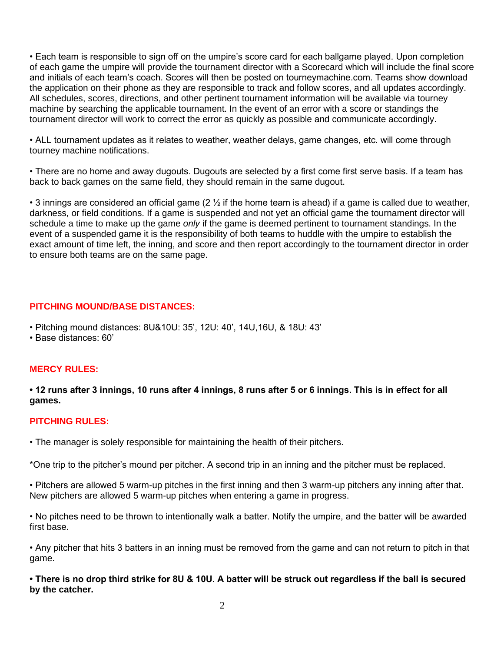• Each team is responsible to sign off on the umpire's score card for each ballgame played. Upon completion of each game the umpire will provide the tournament director with a Scorecard which will include the final score and initials of each team's coach. Scores will then be posted on tourneymachine.com. Teams show download the application on their phone as they are responsible to track and follow scores, and all updates accordingly. All schedules, scores, directions, and other pertinent tournament information will be available via tourney machine by searching the applicable tournament. In the event of an error with a score or standings the tournament director will work to correct the error as quickly as possible and communicate accordingly.

• ALL tournament updates as it relates to weather, weather delays, game changes, etc. will come through tourney machine notifications.

• There are no home and away dugouts. Dugouts are selected by a first come first serve basis. If a team has back to back games on the same field, they should remain in the same dugout.

• 3 innings are considered an official game (2  $\frac{1}{2}$  if the home team is ahead) if a game is called due to weather, darkness, or field conditions. If a game is suspended and not yet an official game the tournament director will schedule a time to make up the game *only* if the game is deemed pertinent to tournament standings. In the event of a suspended game it is the responsibility of both teams to huddle with the umpire to establish the exact amount of time left, the inning, and score and then report accordingly to the tournament director in order to ensure both teams are on the same page.

# **PITCHING MOUND/BASE DISTANCES:**

- Pitching mound distances: 8U&10U: 35', 12U: 40', 14U,16U, & 18U: 43'
- Base distances: 60'

# **MERCY RULES:**

**• 12 runs after 3 innings, 10 runs after 4 innings, 8 runs after 5 or 6 innings. This is in effect for all games.**

# **PITCHING RULES:**

• The manager is solely responsible for maintaining the health of their pitchers.

\*One trip to the pitcher's mound per pitcher. A second trip in an inning and the pitcher must be replaced.

• Pitchers are allowed 5 warm-up pitches in the first inning and then 3 warm-up pitchers any inning after that. New pitchers are allowed 5 warm-up pitches when entering a game in progress.

• No pitches need to be thrown to intentionally walk a batter. Notify the umpire, and the batter will be awarded first base.

• Any pitcher that hits 3 batters in an inning must be removed from the game and can not return to pitch in that game.

**• There is no drop third strike for 8U & 10U. A batter will be struck out regardless if the ball is secured by the catcher.**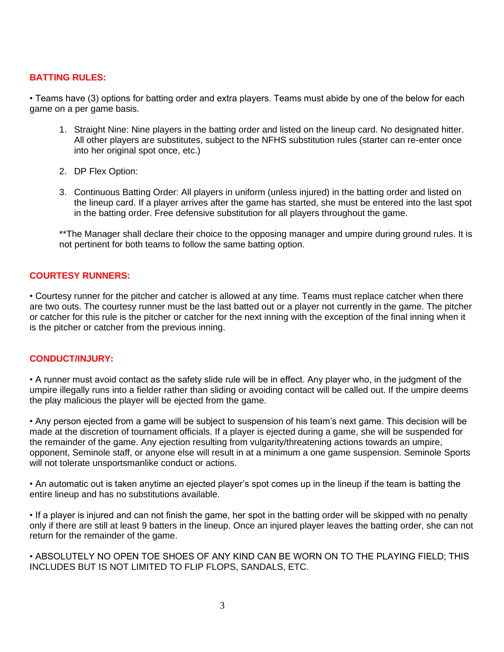# **BATTING RULES:**

• Teams have (3) options for batting order and extra players. Teams must abide by one of the below for each game on a per game basis.

- 1. Straight Nine: Nine players in the batting order and listed on the lineup card. No designated hitter. All other players are substitutes, subject to the NFHS substitution rules (starter can re-enter once into her original spot once, etc.)
- 2. DP Flex Option:
- 3. Continuous Batting Order: All players in uniform (unless injured) in the batting order and listed on the lineup card. If a player arrives after the game has started, she must be entered into the last spot in the batting order. Free defensive substitution for all players throughout the game.

\*\*The Manager shall declare their choice to the opposing manager and umpire during ground rules. It is not pertinent for both teams to follow the same batting option.

### **COURTESY RUNNERS:**

• Courtesy runner for the pitcher and catcher is allowed at any time. Teams must replace catcher when there are two outs. The courtesy runner must be the last batted out or a player not currently in the game. The pitcher or catcher for this rule is the pitcher or catcher for the next inning with the exception of the final inning when it is the pitcher or catcher from the previous inning.

#### **CONDUCT/INJURY:**

• A runner must avoid contact as the safety slide rule will be in effect. Any player who, in the judgment of the umpire illegally runs into a fielder rather than sliding or avoiding contact will be called out. If the umpire deems the play malicious the player will be ejected from the game.

• Any person ejected from a game will be subject to suspension of his team's next game. This decision will be made at the discretion of tournament officials. If a player is ejected during a game, she will be suspended for the remainder of the game. Any ejection resulting from vulgarity/threatening actions towards an umpire, opponent, Seminole staff, or anyone else will result in at a minimum a one game suspension. Seminole Sports will not tolerate unsportsmanlike conduct or actions.

• An automatic out is taken anytime an ejected player's spot comes up in the lineup if the team is batting the entire lineup and has no substitutions available.

• If a player is injured and can not finish the game, her spot in the batting order will be skipped with no penalty only if there are still at least 9 batters in the lineup. Once an injured player leaves the batting order, she can not return for the remainder of the game.

• ABSOLUTELY NO OPEN TOE SHOES OF ANY KIND CAN BE WORN ON TO THE PLAYING FIELD; THIS INCLUDES BUT IS NOT LIMITED TO FLIP FLOPS, SANDALS, ETC.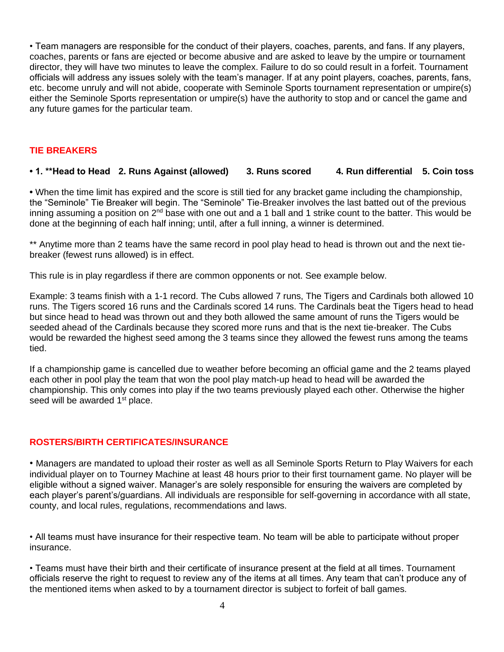• Team managers are responsible for the conduct of their players, coaches, parents, and fans. If any players, coaches, parents or fans are ejected or become abusive and are asked to leave by the umpire or tournament director, they will have two minutes to leave the complex. Failure to do so could result in a forfeit. Tournament officials will address any issues solely with the team's manager. If at any point players, coaches, parents, fans, etc. become unruly and will not abide, cooperate with Seminole Sports tournament representation or umpire(s) either the Seminole Sports representation or umpire(s) have the authority to stop and or cancel the game and any future games for the particular team.

### **TIE BREAKERS**

# **• 1. \*\*Head to Head 2. Runs Against (allowed) 3. Runs scored 4. Run differential 5. Coin toss**

**•** When the time limit has expired and the score is still tied for any bracket game including the championship, the "Seminole" Tie Breaker will begin. The "Seminole" Tie-Breaker involves the last batted out of the previous inning assuming a position on 2<sup>nd</sup> base with one out and a 1 ball and 1 strike count to the batter. This would be done at the beginning of each half inning; until, after a full inning, a winner is determined.

\*\* Anytime more than 2 teams have the same record in pool play head to head is thrown out and the next tiebreaker (fewest runs allowed) is in effect.

This rule is in play regardless if there are common opponents or not. See example below.

Example: 3 teams finish with a 1-1 record. The Cubs allowed 7 runs, The Tigers and Cardinals both allowed 10 runs. The Tigers scored 16 runs and the Cardinals scored 14 runs. The Cardinals beat the Tigers head to head but since head to head was thrown out and they both allowed the same amount of runs the Tigers would be seeded ahead of the Cardinals because they scored more runs and that is the next tie-breaker. The Cubs would be rewarded the highest seed among the 3 teams since they allowed the fewest runs among the teams tied.

If a championship game is cancelled due to weather before becoming an official game and the 2 teams played each other in pool play the team that won the pool play match-up head to head will be awarded the championship. This only comes into play if the two teams previously played each other. Otherwise the higher seed will be awarded 1<sup>st</sup> place.

#### **ROSTERS/BIRTH CERTIFICATES/INSURANCE**

• Managers are mandated to upload their roster as well as all Seminole Sports Return to Play Waivers for each individual player on to Tourney Machine at least 48 hours prior to their first tournament game. No player will be eligible without a signed waiver. Manager's are solely responsible for ensuring the waivers are completed by each player's parent's/guardians. All individuals are responsible for self-governing in accordance with all state, county, and local rules, regulations, recommendations and laws.

• All teams must have insurance for their respective team. No team will be able to participate without proper insurance.

• Teams must have their birth and their certificate of insurance present at the field at all times. Tournament officials reserve the right to request to review any of the items at all times. Any team that can't produce any of the mentioned items when asked to by a tournament director is subject to forfeit of ball games.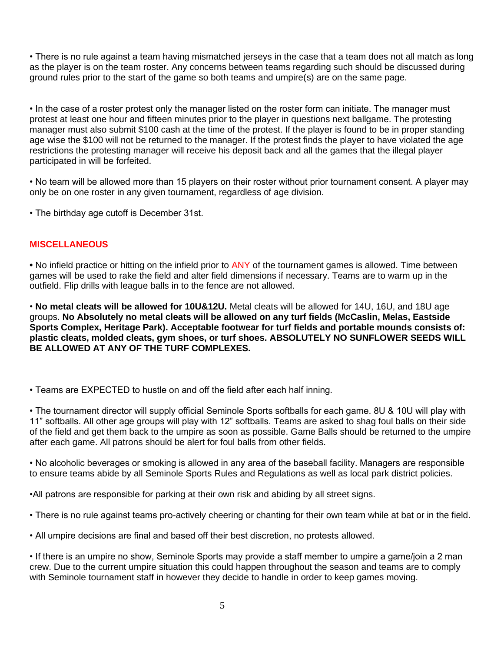• There is no rule against a team having mismatched jerseys in the case that a team does not all match as long as the player is on the team roster. Any concerns between teams regarding such should be discussed during ground rules prior to the start of the game so both teams and umpire(s) are on the same page.

• In the case of a roster protest only the manager listed on the roster form can initiate. The manager must protest at least one hour and fifteen minutes prior to the player in questions next ballgame. The protesting manager must also submit \$100 cash at the time of the protest. If the player is found to be in proper standing age wise the \$100 will not be returned to the manager. If the protest finds the player to have violated the age restrictions the protesting manager will receive his deposit back and all the games that the illegal player participated in will be forfeited.

• No team will be allowed more than 15 players on their roster without prior tournament consent. A player may only be on one roster in any given tournament, regardless of age division.

• The birthday age cutoff is December 31st.

# **MISCELLANEOUS**

**•** No infield practice or hitting on the infield prior to ANY of the tournament games is allowed. Time between games will be used to rake the field and alter field dimensions if necessary. Teams are to warm up in the outfield. Flip drills with league balls in to the fence are not allowed.

• **No metal cleats will be allowed for 10U&12U.** Metal cleats will be allowed for 14U, 16U, and 18U age groups. **No Absolutely no metal cleats will be allowed on any turf fields (McCaslin, Melas, Eastside Sports Complex, Heritage Park). Acceptable footwear for turf fields and portable mounds consists of: plastic cleats, molded cleats, gym shoes, or turf shoes. ABSOLUTELY NO SUNFLOWER SEEDS WILL BE ALLOWED AT ANY OF THE TURF COMPLEXES.**

• Teams are EXPECTED to hustle on and off the field after each half inning.

• The tournament director will supply official Seminole Sports softballs for each game. 8U & 10U will play with 11" softballs. All other age groups will play with 12" softballs. Teams are asked to shag foul balls on their side of the field and get them back to the umpire as soon as possible. Game Balls should be returned to the umpire after each game. All patrons should be alert for foul balls from other fields.

• No alcoholic beverages or smoking is allowed in any area of the baseball facility. Managers are responsible to ensure teams abide by all Seminole Sports Rules and Regulations as well as local park district policies.

•All patrons are responsible for parking at their own risk and abiding by all street signs.

• There is no rule against teams pro-actively cheering or chanting for their own team while at bat or in the field.

• All umpire decisions are final and based off their best discretion, no protests allowed.

• If there is an umpire no show, Seminole Sports may provide a staff member to umpire a game/join a 2 man crew. Due to the current umpire situation this could happen throughout the season and teams are to comply with Seminole tournament staff in however they decide to handle in order to keep games moving.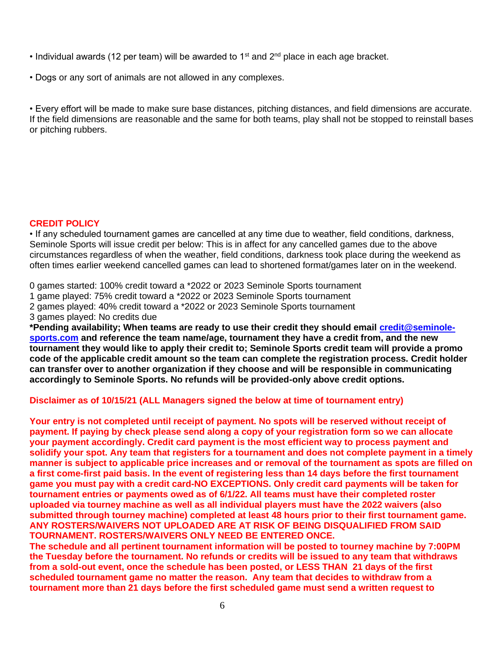- Individual awards (12 per team) will be awarded to 1<sup>st</sup> and  $2<sup>nd</sup>$  place in each age bracket.
- Dogs or any sort of animals are not allowed in any complexes.

• Every effort will be made to make sure base distances, pitching distances, and field dimensions are accurate. If the field dimensions are reasonable and the same for both teams, play shall not be stopped to reinstall bases or pitching rubbers.

# **CREDIT POLICY**

• If any scheduled tournament games are cancelled at any time due to weather, field conditions, darkness, Seminole Sports will issue credit per below: This is in affect for any cancelled games due to the above circumstances regardless of when the weather, field conditions, darkness took place during the weekend as often times earlier weekend cancelled games can lead to shortened format/games later on in the weekend.

0 games started: 100% credit toward a \*2022 or 2023 Seminole Sports tournament

1 game played: 75% credit toward a \*2022 or 2023 Seminole Sports tournament

2 games played: 40% credit toward a \*2022 or 2023 Seminole Sports tournament

3 games played: No credits due

**\*Pending availability; When teams are ready to use their credit they should email [credit@seminole](mailto:credit@seminole-sports.com)[sports.com](mailto:credit@seminole-sports.com) and reference the team name/age, tournament they have a credit from, and the new tournament they would like to apply their credit to; Seminole Sports credit team will provide a promo code of the applicable credit amount so the team can complete the registration process. Credit holder can transfer over to another organization if they choose and will be responsible in communicating accordingly to Seminole Sports. No refunds will be provided-only above credit options.**

# **Disclaimer as of 10/15/21 (ALL Managers signed the below at time of tournament entry)**

**Your entry is not completed until receipt of payment. No spots will be reserved without receipt of payment. If paying by check please send along a copy of your registration form so we can allocate your payment accordingly. Credit card payment is the most efficient way to process payment and solidify your spot. Any team that registers for a tournament and does not complete payment in a timely manner is subject to applicable price increases and or removal of the tournament as spots are filled on a first come-first paid basis. In the event of registering less than 14 days before the first tournament game you must pay with a credit card-NO EXCEPTIONS. Only credit card payments will be taken for tournament entries or payments owed as of 6/1/22. All teams must have their completed roster uploaded via tourney machine as well as all individual players must have the 2022 waivers (also submitted through tourney machine) completed at least 48 hours prior to their first tournament game. ANY ROSTERS/WAIVERS NOT UPLOADED ARE AT RISK OF BEING DISQUALIFIED FROM SAID TOURNAMENT. ROSTERS/WAIVERS ONLY NEED BE ENTERED ONCE.**

**The schedule and all pertinent tournament information will be posted to tourney machine by 7:00PM the Tuesday before the tournament. No refunds or credits will be issued to any team that withdraws from a sold-out event, once the schedule has been posted, or LESS THAN 21 days of the first scheduled tournament game no matter the reason. Any team that decides to withdraw from a tournament more than 21 days before the first scheduled game must send a written request to**